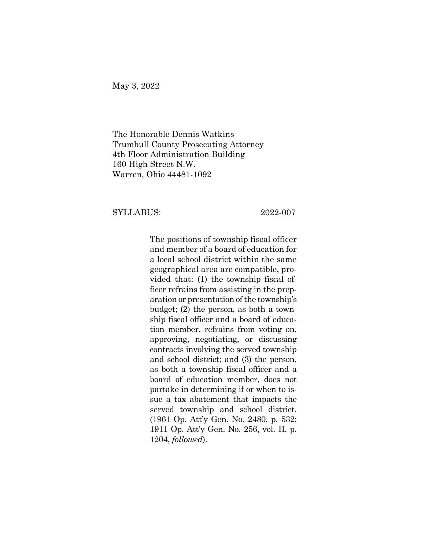May 3, 2022

The Honorable Dennis Watkins Trumbull County Prosecuting Attorney 4th Floor Administration Building 160 High Street N.W. Warren, Ohio 44481-1092

## SYLLABUS: 2022-007

The positions of township fiscal officer and member of a board of education for a local school district within the same geographical area are compatible, provided that: (1) the township fiscal officer refrains from assisting in the preparation or presentation of the township's budget; (2) the person, as both a township fiscal officer and a board of education member, refrains from voting on, approving, negotiating, or discussing contracts involving the served township and school district; and (3) the person, as both a township fiscal officer and a board of education member, does not partake in determining if or when to issue a tax abatement that impacts the served township and school district. (1961 Op. Att'y Gen. No. 2480, p. 532; 1911 Op. Att'y Gen. No. 256, vol. II, p. 1204, *followed*).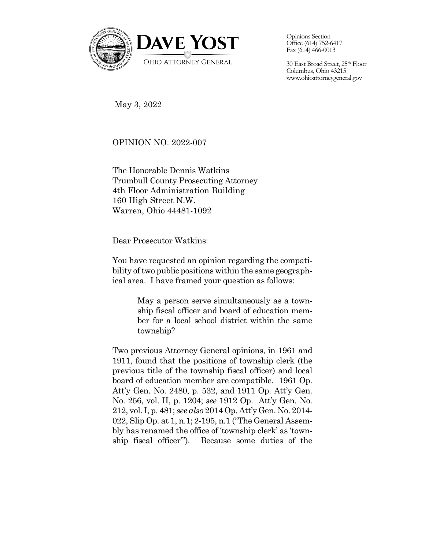

Opinions Section Office (614) 752-6417 Fax (614) 466-0013

30 East Broad Street, 25th Floor Columbus, Ohio 43215 www.ohioattorneygeneral.gov

May 3, 2022

OPINION NO. 2022-007

The Honorable Dennis Watkins Trumbull County Prosecuting Attorney 4th Floor Administration Building 160 High Street N.W. Warren, Ohio 44481-1092

Dear Prosecutor Watkins:

You have requested an opinion regarding the compatibility of two public positions within the same geographical area. I have framed your question as follows:

> May a person serve simultaneously as a township fiscal officer and board of education member for a local school district within the same township?

Two previous Attorney General opinions, in 1961 and 1911, found that the positions of township clerk (the previous title of the township fiscal officer) and local board of education member are compatible. 1961 Op. Att'y Gen. No. 2480, p. 532, and 1911 Op. Att'y Gen. No. 256, vol. II, p. 1204; *see* 1912 Op. Att'y Gen. No. 212, vol. I, p. 481; *see also* 2014 Op. Att'y Gen. No. 2014- 022, Slip Op. at 1, n.1; 2-195, n.1 ("The General Assembly has renamed the office of 'township clerk' as 'township fiscal officer"'). Because some duties of the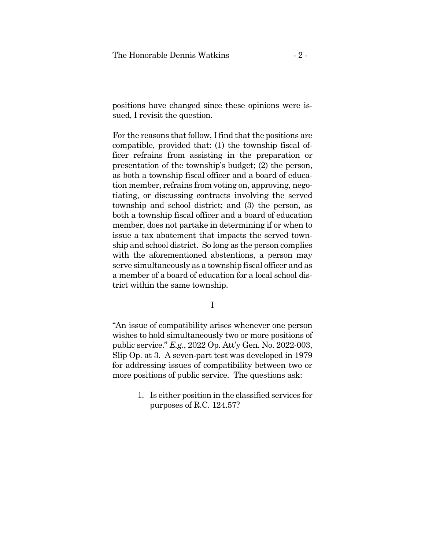positions have changed since these opinions were issued, I revisit the question.

For the reasons that follow, I find that the positions are compatible, provided that: (1) the township fiscal officer refrains from assisting in the preparation or presentation of the township's budget; (2) the person, as both a township fiscal officer and a board of education member, refrains from voting on, approving, negotiating, or discussing contracts involving the served township and school district; and (3) the person, as both a township fiscal officer and a board of education member, does not partake in determining if or when to issue a tax abatement that impacts the served township and school district. So long as the person complies with the aforementioned abstentions, a person may serve simultaneously as a township fiscal officer and as a member of a board of education for a local school district within the same township.

I

"An issue of compatibility arises whenever one person wishes to hold simultaneously two or more positions of public service." *E.g*., 2022 Op. Att'y Gen. No. 2022-003, Slip Op. at 3. A seven-part test was developed in 1979 for addressing issues of compatibility between two or more positions of public service. The questions ask:

> 1. Is either position in the classified services for purposes of R.C. 124.57?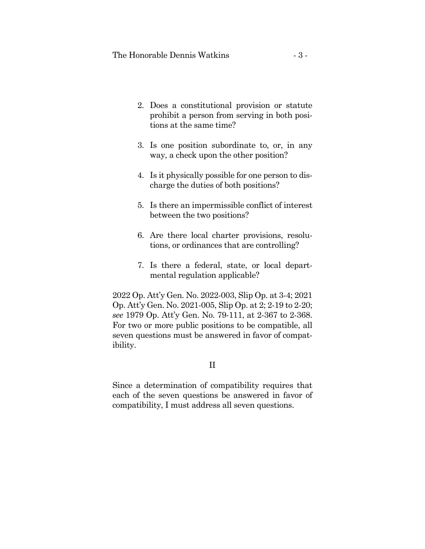- 2. Does a constitutional provision or statute prohibit a person from serving in both positions at the same time?
- 3. Is one position subordinate to, or, in any way, a check upon the other position?
- 4. Is it physically possible for one person to discharge the duties of both positions?
- 5. Is there an impermissible conflict of interest between the two positions?
- 6. Are there local charter provisions, resolutions, or ordinances that are controlling?
- 7. Is there a federal, state, or local departmental regulation applicable?

2022 Op. Att'y Gen. No. 2022-003, Slip Op. at 3-4; 2021 Op. Att'y Gen. No. 2021-005, Slip Op. at 2; 2-19 to 2-20; *see* 1979 Op. Att'y Gen. No. 79-111, at 2-367 to 2-368. For two or more public positions to be compatible, all seven questions must be answered in favor of compatibility.

# II

Since a determination of compatibility requires that each of the seven questions be answered in favor of compatibility, I must address all seven questions.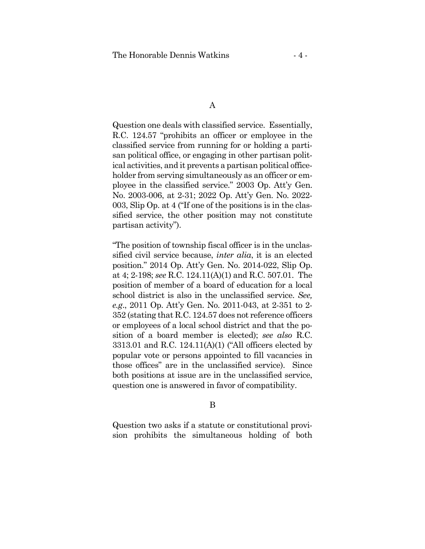### A

Question one deals with classified service. Essentially, R.C. 124.57 "prohibits an officer or employee in the classified service from running for or holding a partisan political office, or engaging in other partisan political activities, and it prevents a partisan political officeholder from serving simultaneously as an officer or employee in the classified service." 2003 Op. Att'y Gen. No. 2003-006, at 2-31; 2022 Op. Att'y Gen. No. 2022- 003, Slip Op. at 4 ("If one of the positions is in the classified service, the other position may not constitute partisan activity").

"The position of township fiscal officer is in the unclassified civil service because, *inter alia*, it is an elected position." 2014 Op. Att'y Gen. No. 2014-022, Slip Op. at 4; 2-198; *see* R.C. 124.11(A)(1) and R.C. 507.01. The position of member of a board of education for a local school district is also in the unclassified service. *See, e.g*., 2011 Op. Att'y Gen. No. 2011-043, at 2-351 to 2- 352 (stating that R.C. 124.57 does not reference officers or employees of a local school district and that the position of a board member is elected); *see also* R.C. 3313.01 and R.C. 124.11(A)(1) ("All officers elected by popular vote or persons appointed to fill vacancies in those offices" are in the unclassified service). Since both positions at issue are in the unclassified service, question one is answered in favor of compatibility.

## B

Question two asks if a statute or constitutional provision prohibits the simultaneous holding of both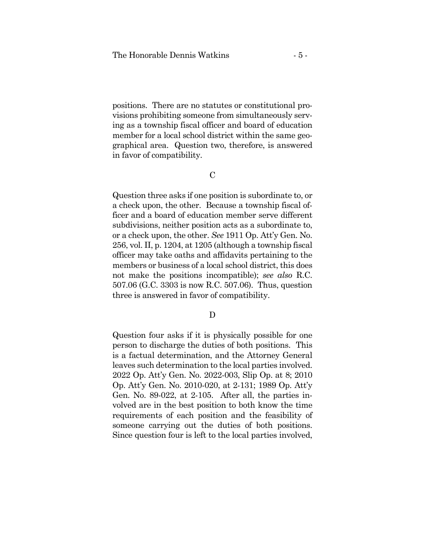positions. There are no statutes or constitutional provisions prohibiting someone from simultaneously serving as a township fiscal officer and board of education member for a local school district within the same geographical area. Question two, therefore, is answered in favor of compatibility.

C

Question three asks if one position is subordinate to, or a check upon, the other. Because a township fiscal officer and a board of education member serve different subdivisions, neither position acts as a subordinate to, or a check upon, the other. *See* 1911 Op. Att'y Gen. No. 256, vol. II, p. 1204, at 1205 (although a township fiscal officer may take oaths and affidavits pertaining to the members or business of a local school district, this does not make the positions incompatible); *see also* R.C. 507.06 (G.C. 3303 is now R.C. 507.06). Thus, question three is answered in favor of compatibility.

D

Question four asks if it is physically possible for one person to discharge the duties of both positions. This is a factual determination, and the Attorney General leaves such determination to the local parties involved. 2022 Op. Att'y Gen. No. 2022-003, Slip Op. at 8; 2010 Op. Att'y Gen. No. 2010-020, at 2-131; 1989 Op. Att'y Gen. No. 89-022, at 2-105. After all, the parties involved are in the best position to both know the time requirements of each position and the feasibility of someone carrying out the duties of both positions. Since question four is left to the local parties involved,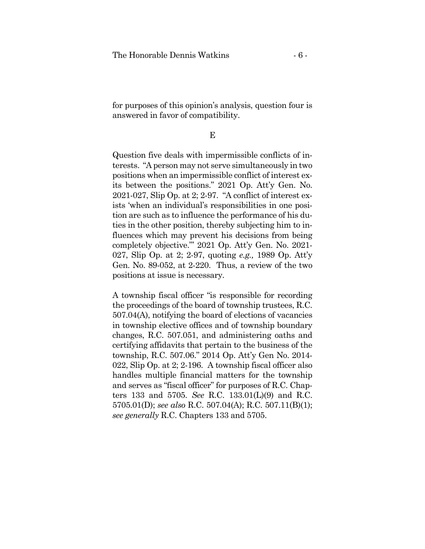for purposes of this opinion's analysis, question four is answered in favor of compatibility.

E

Question five deals with impermissible conflicts of interests. "A person may not serve simultaneously in two positions when an impermissible conflict of interest exits between the positions." 2021 Op. Att'y Gen. No. 2021-027, Slip Op. at 2; 2-97. "A conflict of interest exists 'when an individual's responsibilities in one position are such as to influence the performance of his duties in the other position, thereby subjecting him to influences which may prevent his decisions from being completely objective."' 2021 Op. Att'y Gen. No. 2021- 027, Slip Op. at 2; 2-97, quoting *e.g.,* 1989 Op. Att'y Gen. No. 89-052, at 2-220. Thus, a review of the two positions at issue is necessary.

A township fiscal officer "is responsible for recording the proceedings of the board of township trustees, R.C. 507.04(A), notifying the board of elections of vacancies in township elective offices and of township boundary changes, R.C. 507.051, and administering oaths and certifying affidavits that pertain to the business of the township, R.C. 507.06." 2014 Op. Att'y Gen No. 2014- 022, Slip Op. at 2; 2-196. A township fiscal officer also handles multiple financial matters for the township and serves as "fiscal officer" for purposes of R.C. Chapters 133 and 5705. *See* R.C. 133.01(L)(9) and R.C. 5705.01(D); *see also* R.C. 507.04(A); R.C. 507.11(B)(1); *see generally* R.C. Chapters 133 and 5705.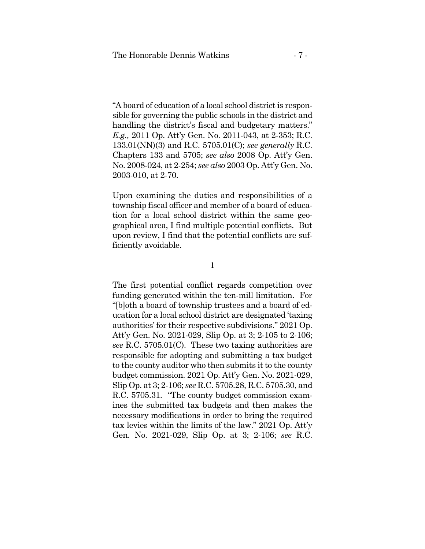"A board of education of a local school district is responsible for governing the public schools in the district and handling the district's fiscal and budgetary matters." *E.g.,* 2011 Op. Att'y Gen. No. 2011-043, at 2-353; R.C. 133.01(NN)(3) and R.C. 5705.01(C); *see generally* R.C. Chapters 133 and 5705; *see also* 2008 Op. Att'y Gen. No. 2008-024, at 2-254; *see also* 2003 Op. Att'y Gen. No. 2003-010, at 2-70.

Upon examining the duties and responsibilities of a township fiscal officer and member of a board of education for a local school district within the same geographical area, I find multiple potential conflicts. But upon review, I find that the potential conflicts are sufficiently avoidable.

1

The first potential conflict regards competition over funding generated within the ten-mill limitation. For "[b]oth a board of township trustees and a board of education for a local school district are designated 'taxing authorities' for their respective subdivisions." 2021 Op. Att'y Gen. No. 2021-029, Slip Op. at 3; 2-105 to 2-106; *see* R.C. 5705.01(C). These two taxing authorities are responsible for adopting and submitting a tax budget to the county auditor who then submits it to the county budget commission. 2021 Op. Att'y Gen. No. 2021-029, Slip Op. at 3; 2-106; *see* R.C. 5705.28, R.C. 5705.30, and R.C. 5705.31. "The county budget commission examines the submitted tax budgets and then makes the necessary modifications in order to bring the required tax levies within the limits of the law." 2021 Op. Att'y Gen. No. 2021-029, Slip Op. at 3; 2-106; *see* R.C.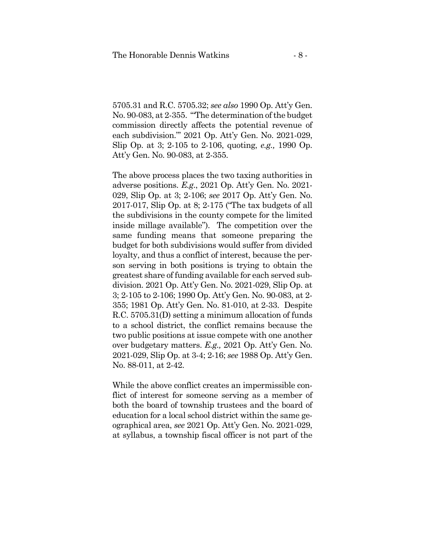5705.31 and R.C. 5705.32; *see also* 1990 Op. Att'y Gen. No. 90-083, at 2-355. '"The determination of the budget commission directly affects the potential revenue of each subdivision."' 2021 Op. Att'y Gen. No. 2021-029, Slip Op. at 3; 2-105 to 2-106, quoting, *e.g.,* 1990 Op. Att'y Gen. No. 90-083, at 2-355.

The above process places the two taxing authorities in adverse positions. *E.g*., 2021 Op. Att'y Gen. No. 2021- 029, Slip Op. at 3; 2-106; *see* 2017 Op. Att'y Gen. No. 2017-017, Slip Op. at 8; 2-175 ("The tax budgets of all the subdivisions in the county compete for the limited inside millage available"). The competition over the same funding means that someone preparing the budget for both subdivisions would suffer from divided loyalty, and thus a conflict of interest, because the person serving in both positions is trying to obtain the greatest share of funding available for each served subdivision. 2021 Op. Att'y Gen. No. 2021-029, Slip Op. at 3; 2-105 to 2-106; 1990 Op. Att'y Gen. No. 90-083, at 2- 355; 1981 Op. Att'y Gen. No. 81-010, at 2-33. Despite R.C. 5705.31(D) setting a minimum allocation of funds to a school district, the conflict remains because the two public positions at issue compete with one another over budgetary matters. *E.g.,* 2021 Op. Att'y Gen. No. 2021-029, Slip Op. at 3-4; 2-16; *see* 1988 Op. Att'y Gen. No. 88-011, at 2-42.

While the above conflict creates an impermissible conflict of interest for someone serving as a member of both the board of township trustees and the board of education for a local school district within the same geographical area, *see* 2021 Op. Att'y Gen. No. 2021-029, at syllabus, a township fiscal officer is not part of the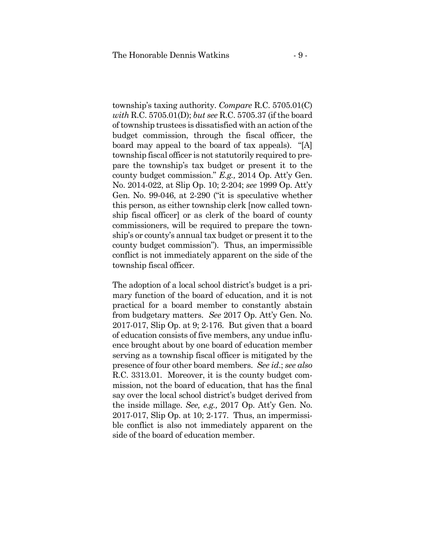township's taxing authority. *Compare* R.C. 5705.01(C) *with* R.C. 5705.01(D); *but see* R.C. 5705.37 (if the board of township trustees is dissatisfied with an action of the budget commission, through the fiscal officer, the board may appeal to the board of tax appeals). "[A] township fiscal officer is not statutorily required to prepare the township's tax budget or present it to the county budget commission." *E.g.,* 2014 Op. Att'y Gen. No. 2014-022, at Slip Op. 10; 2-204; *see* 1999 Op. Att'y Gen. No. 99-046, at 2-290 ("it is speculative whether this person, as either township clerk [now called township fiscal officer] or as clerk of the board of county commissioners, will be required to prepare the township's or county's annual tax budget or present it to the county budget commission"). Thus, an impermissible conflict is not immediately apparent on the side of the township fiscal officer.

The adoption of a local school district's budget is a primary function of the board of education, and it is not practical for a board member to constantly abstain from budgetary matters. *See* 2017 Op. Att'y Gen. No. 2017-017, Slip Op. at 9; 2-176. But given that a board of education consists of five members, any undue influence brought about by one board of education member serving as a township fiscal officer is mitigated by the presence of four other board members. *See id*.; *see also* R.C. 3313.01. Moreover, it is the county budget commission, not the board of education, that has the final say over the local school district's budget derived from the inside millage. *See, e.g.,* 2017 Op. Att'y Gen. No. 2017-017, Slip Op. at 10; 2-177. Thus, an impermissible conflict is also not immediately apparent on the side of the board of education member.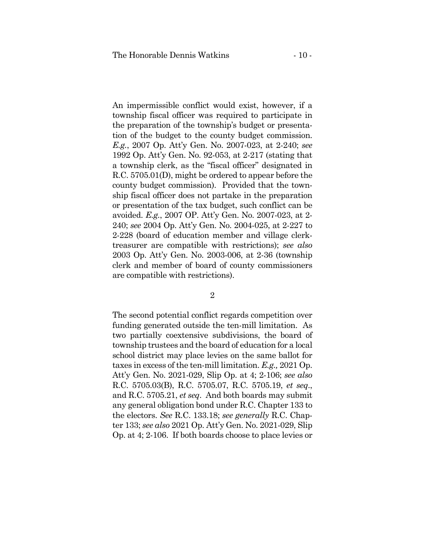An impermissible conflict would exist, however, if a township fiscal officer was required to participate in the preparation of the township's budget or presentation of the budget to the county budget commission. *E.g.*, 2007 Op. Att'y Gen. No. 2007-023, at 2-240; *see* 1992 Op. Att'y Gen. No. 92-053, at 2-217 (stating that a township clerk, as the "fiscal officer" designated in R.C. 5705.01(D), might be ordered to appear before the county budget commission). Provided that the township fiscal officer does not partake in the preparation or presentation of the tax budget, such conflict can be avoided. *E.g.*, 2007 OP. Att'y Gen. No. 2007-023, at 2- 240; *see* 2004 Op. Att'y Gen. No. 2004-025, at 2-227 to 2-228 (board of education member and village clerktreasurer are compatible with restrictions); *see also* 2003 Op. Att'y Gen. No. 2003-006, at 2-36 (township clerk and member of board of county commissioners are compatible with restrictions).

2

The second potential conflict regards competition over funding generated outside the ten-mill limitation. As two partially coextensive subdivisions, the board of township trustees and the board of education for a local school district may place levies on the same ballot for taxes in excess of the ten-mill limitation. *E.g.,* 2021 Op. Att'y Gen. No. 2021-029, Slip Op. at 4; 2-106; *see also*  R.C. 5705.03(B), R.C. 5705.07, R.C. 5705.19, *et seq*., and R.C. 5705.21, *et seq*. And both boards may submit any general obligation bond under R.C. Chapter 133 to the electors. *See* R.C. 133.18; *see generally* R.C. Chapter 133; *see also* 2021 Op. Att'y Gen. No. 2021-029, Slip Op. at 4; 2-106. If both boards choose to place levies or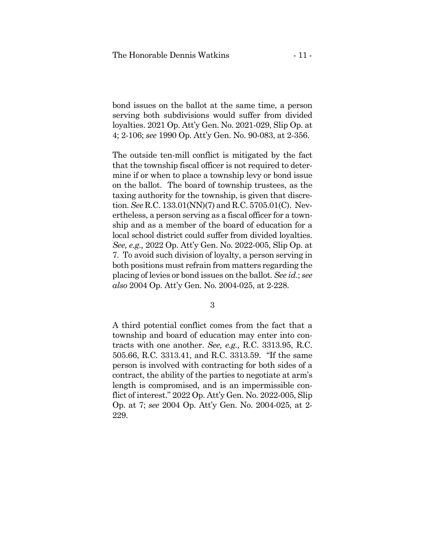bond issues on the ballot at the same time, a person serving both subdivisions would suffer from divided loyalties. 2021 Op. Att'y Gen. No. 2021-029, Slip Op. at 4; 2-106; *see* 1990 Op. Att'y Gen. No. 90-083, at 2-356.

The outside ten-mill conflict is mitigated by the fact that the township fiscal officer is not required to determine if or when to place a township levy or bond issue on the ballot. The board of township trustees, as the taxing authority for the township, is given that discretion. *See* R.C. 133.01(NN)(7) and R.C. 5705.01(C). Nevertheless, a person serving as a fiscal officer for a township and as a member of the board of education for a local school district could suffer from divided loyalties. *See, e.g.,* 2022 Op. Att'y Gen. No. 2022-005, Slip Op. at 7. To avoid such division of loyalty, a person serving in both positions must refrain from matters regarding the placing of levies or bond issues on the ballot. *See id*.; *see also* 2004 Op. Att'y Gen. No. 2004-025, at 2-228.

3

A third potential conflict comes from the fact that a township and board of education may enter into contracts with one another. *See, e.g.,* R.C. 3313.95, R.C. 505.66, R.C. 3313.41, and R.C. 3313.59. "If the same person is involved with contracting for both sides of a contract, the ability of the parties to negotiate at arm's length is compromised, and is an impermissible conflict of interest." 2022 Op. Att'y Gen. No. 2022-005, Slip Op. at 7; *see* 2004 Op. Att'y Gen. No. 2004-025, at 2- 229.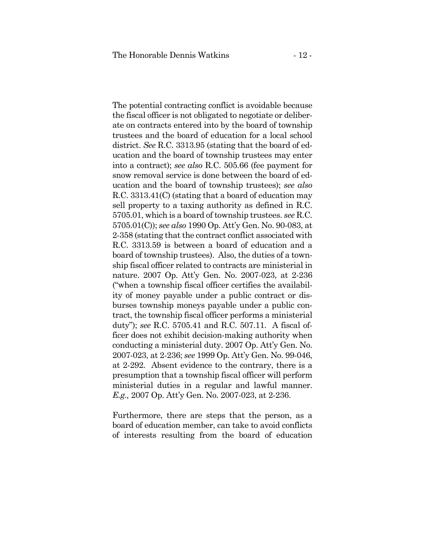The potential contracting conflict is avoidable because the fiscal officer is not obligated to negotiate or deliberate on contracts entered into by the board of township trustees and the board of education for a local school district. *See* R.C. 3313.95 (stating that the board of education and the board of township trustees may enter into a contract); *see also* R.C. 505.66 (fee payment for snow removal service is done between the board of education and the board of township trustees); *see also* R.C. 3313.41(C) (stating that a board of education may sell property to a taxing authority as defined in R.C. 5705.01, which is a board of township trustees. *see* R.C. 5705.01(C)); *see also* 1990 Op. Att'y Gen. No. 90-083, at 2-358 (stating that the contract conflict associated with R.C. 3313.59 is between a board of education and a board of township trustees). Also, the duties of a township fiscal officer related to contracts are ministerial in nature. 2007 Op. Att'y Gen. No. 2007-023, at 2-236 ("when a township fiscal officer certifies the availability of money payable under a public contract or disburses township moneys payable under a public contract, the township fiscal officer performs a ministerial duty"); *see* R.C. 5705.41 and R.C. 507.11. A fiscal officer does not exhibit decision-making authority when conducting a ministerial duty. 2007 Op. Att'y Gen. No. 2007-023, at 2-236; *see* 1999 Op. Att'y Gen. No. 99-046, at 2-292. Absent evidence to the contrary, there is a presumption that a township fiscal officer will perform ministerial duties in a regular and lawful manner. *E.g.,* 2007 Op. Att'y Gen. No. 2007-023, at 2-236.

Furthermore, there are steps that the person, as a board of education member, can take to avoid conflicts of interests resulting from the board of education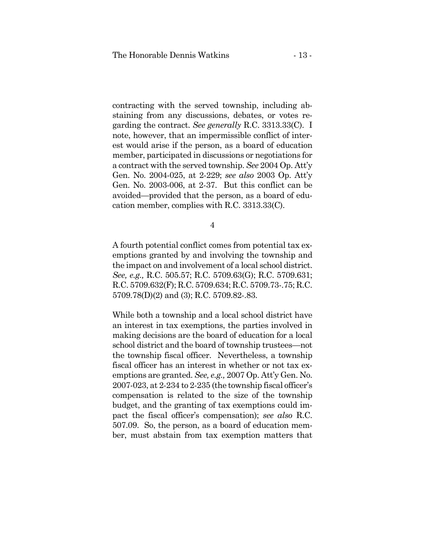contracting with the served township, including abstaining from any discussions, debates, or votes regarding the contract. *See generally* R.C. 3313.33(C). I note, however, that an impermissible conflict of interest would arise if the person, as a board of education member, participated in discussions or negotiations for a contract with the served township. *See* 2004 Op. Att'y Gen. No. 2004-025, at 2-229; *see also* 2003 Op. Att'y Gen. No. 2003-006, at 2-37. But this conflict can be avoided—provided that the person, as a board of education member, complies with R.C. 3313.33(C).

4

A fourth potential conflict comes from potential tax exemptions granted by and involving the township and the impact on and involvement of a local school district. *See, e.g.,* R.C. 505.57; R.C. 5709.63(G); R.C. 5709.631; R.C. 5709.632(F); R.C. 5709.634; R.C. 5709.73-.75; R.C. 5709.78(D)(2) and (3); R.C. 5709.82-.83.

While both a township and a local school district have an interest in tax exemptions, the parties involved in making decisions are the board of education for a local school district and the board of township trustees—not the township fiscal officer. Nevertheless, a township fiscal officer has an interest in whether or not tax exemptions are granted. *See, e.g.,* 2007 Op. Att'y Gen. No. 2007-023, at 2-234 to 2-235 (the township fiscal officer's compensation is related to the size of the township budget, and the granting of tax exemptions could impact the fiscal officer's compensation); *see also* R.C. 507.09. So, the person, as a board of education member, must abstain from tax exemption matters that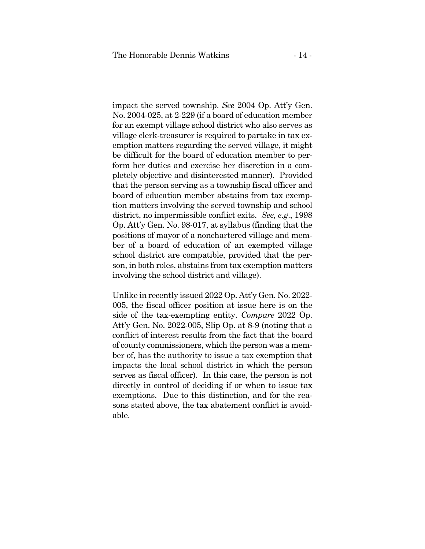impact the served township. *See* 2004 Op. Att'y Gen. No. 2004-025, at 2-229 (if a board of education member for an exempt village school district who also serves as village clerk-treasurer is required to partake in tax exemption matters regarding the served village, it might be difficult for the board of education member to perform her duties and exercise her discretion in a completely objective and disinterested manner). Provided that the person serving as a township fiscal officer and board of education member abstains from tax exemption matters involving the served township and school district, no impermissible conflict exits. *See, e.g*., 1998 Op. Att'y Gen. No. 98-017, at syllabus (finding that the positions of mayor of a nonchartered village and member of a board of education of an exempted village school district are compatible, provided that the person, in both roles, abstains from tax exemption matters involving the school district and village).

Unlike in recently issued 2022 Op. Att'y Gen. No. 2022- 005, the fiscal officer position at issue here is on the side of the tax-exempting entity. *Compare* 2022 Op. Att'y Gen. No. 2022-005, Slip Op. at 8-9 (noting that a conflict of interest results from the fact that the board of county commissioners, which the person was a member of, has the authority to issue a tax exemption that impacts the local school district in which the person serves as fiscal officer). In this case, the person is not directly in control of deciding if or when to issue tax exemptions. Due to this distinction, and for the reasons stated above, the tax abatement conflict is avoidable.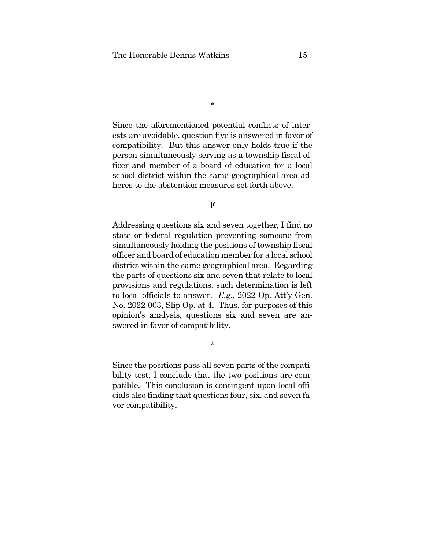\*

Since the aforementioned potential conflicts of interests are avoidable, question five is answered in favor of compatibility. But this answer only holds true if the person simultaneously serving as a township fiscal officer and member of a board of education for a local school district within the same geographical area adheres to the abstention measures set forth above.

F

Addressing questions six and seven together, I find no state or federal regulation preventing someone from simultaneously holding the positions of township fiscal officer and board of education member for a local school district within the same geographical area. Regarding the parts of questions six and seven that relate to local provisions and regulations, such determination is left to local officials to answer. *E.g*., 2022 Op. Att'y Gen. No. 2022-003, Slip Op. at 4. Thus, for purposes of this opinion's analysis, questions six and seven are answered in favor of compatibility.

\*

Since the positions pass all seven parts of the compatibility test, I conclude that the two positions are compatible. This conclusion is contingent upon local officials also finding that questions four, six, and seven favor compatibility.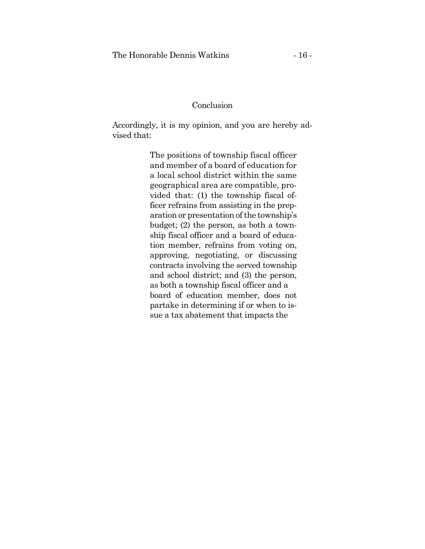# Conclusion

Accordingly, it is my opinion, and you are hereby advised that:

> The positions of township fiscal officer and member of a board of education for a local school district within the same geographical area are compatible, provided that: (1) the township fiscal officer refrains from assisting in the preparation or presentation of the township's budget; (2) the person, as both a township fiscal officer and a board of education member, refrains from voting on, approving, negotiating, or discussing contracts involving the served township and school district; and (3) the person, as both a township fiscal officer and a board of education member, does not partake in determining if or when to issue a tax abatement that impacts the